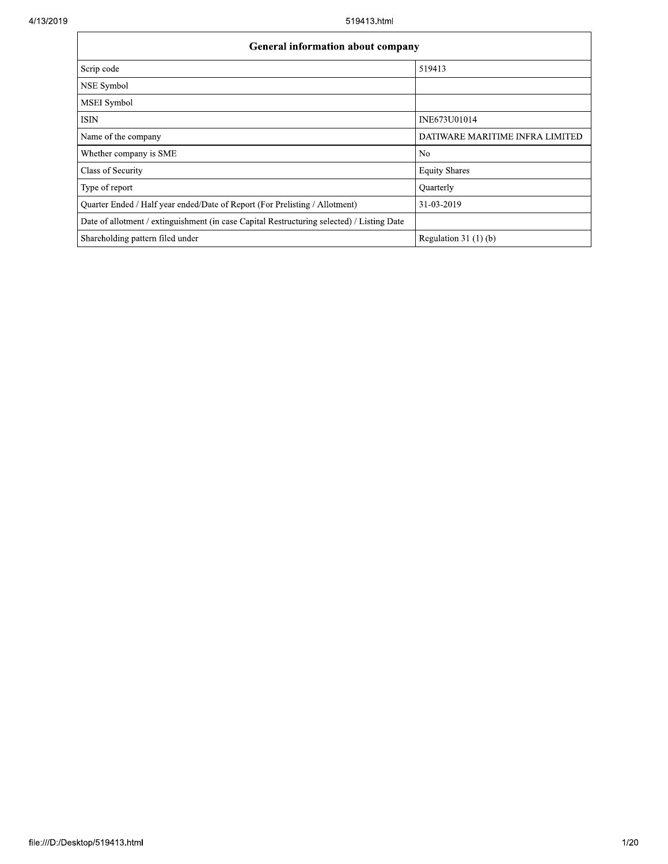| <b>General information about company</b>                                                   |                                 |  |  |  |  |  |  |
|--------------------------------------------------------------------------------------------|---------------------------------|--|--|--|--|--|--|
| Scrip code                                                                                 | 519413                          |  |  |  |  |  |  |
| NSE Symbol                                                                                 |                                 |  |  |  |  |  |  |
| MSEI Symbol                                                                                |                                 |  |  |  |  |  |  |
| <b>ISIN</b>                                                                                | INE673U01014                    |  |  |  |  |  |  |
| Name of the company                                                                        | DATIWARE MARITIME INFRA LIMITED |  |  |  |  |  |  |
| Whether company is SME                                                                     | N <sub>0</sub>                  |  |  |  |  |  |  |
| Class of Security                                                                          | <b>Equity Shares</b>            |  |  |  |  |  |  |
| Type of report                                                                             | Quarterly                       |  |  |  |  |  |  |
| Quarter Ended / Half year ended/Date of Report (For Prelisting / Allotment)                | 31-03-2019                      |  |  |  |  |  |  |
| Date of allotment / extinguishment (in case Capital Restructuring selected) / Listing Date |                                 |  |  |  |  |  |  |
| Shareholding pattern filed under                                                           | Regulation $31(1)(b)$           |  |  |  |  |  |  |

٦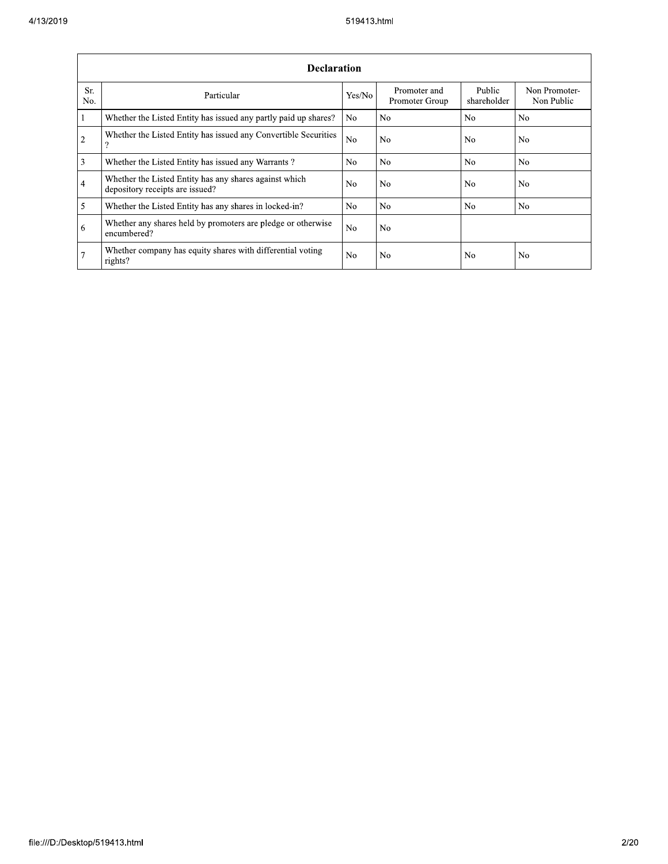|                | <b>Declaration</b>                                                                        |                |                                |                       |                             |  |  |  |  |  |  |
|----------------|-------------------------------------------------------------------------------------------|----------------|--------------------------------|-----------------------|-----------------------------|--|--|--|--|--|--|
| Sr.<br>No.     | Particular                                                                                | Yes/No         | Promoter and<br>Promoter Group | Public<br>shareholder | Non Promoter-<br>Non Public |  |  |  |  |  |  |
| $\mathbf{1}$   | Whether the Listed Entity has issued any partly paid up shares?                           | N <sub>0</sub> | No.                            | N <sub>o</sub>        | N <sub>0</sub>              |  |  |  |  |  |  |
| $\overline{2}$ | Whether the Listed Entity has issued any Convertible Securities<br>?                      | N <sub>o</sub> | No                             | N <sub>o</sub>        | N <sub>o</sub>              |  |  |  |  |  |  |
| 3              | Whether the Listed Entity has issued any Warrants?                                        | N <sub>o</sub> | No.                            | N <sub>o</sub>        | N <sub>0</sub>              |  |  |  |  |  |  |
| $\overline{4}$ | Whether the Listed Entity has any shares against which<br>depository receipts are issued? | N <sub>o</sub> | No.                            | N <sub>o</sub>        | N <sub>o</sub>              |  |  |  |  |  |  |
| 5              | Whether the Listed Entity has any shares in locked-in?                                    | N <sub>o</sub> | No.                            | N <sub>o</sub>        | N <sub>0</sub>              |  |  |  |  |  |  |
| 6              | Whether any shares held by promoters are pledge or otherwise<br>encumbered?               | N <sub>o</sub> | No.                            |                       |                             |  |  |  |  |  |  |
| $\overline{7}$ | Whether company has equity shares with differential voting<br>rights?                     | N <sub>o</sub> | No.                            | N <sub>0</sub>        | N <sub>0</sub>              |  |  |  |  |  |  |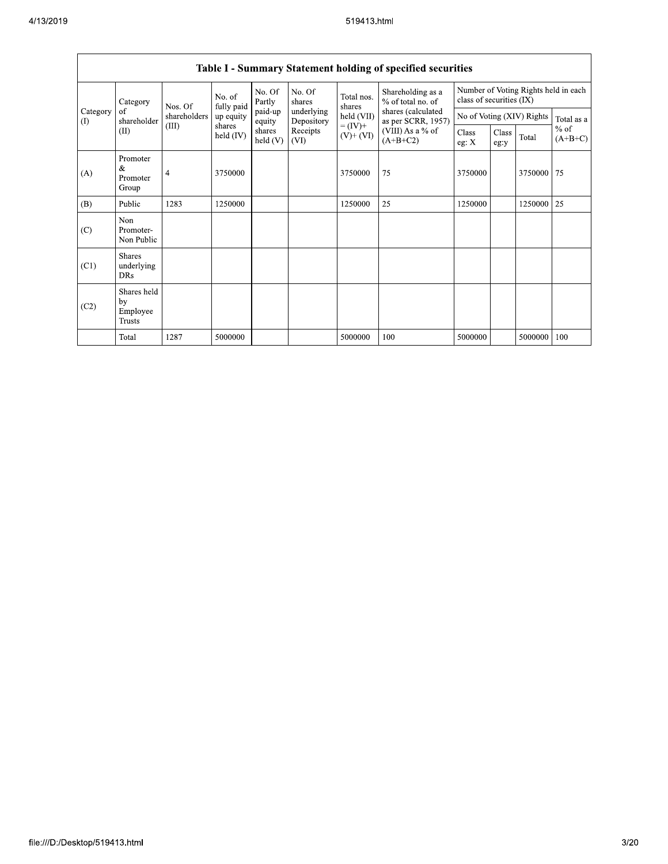|                      | $v$ which $v$<br>Diatement notaing of specified securities |                   |                     |                   |                          |                              |                                                                                    |                                                                  |               |                           |                     |
|----------------------|------------------------------------------------------------|-------------------|---------------------|-------------------|--------------------------|------------------------------|------------------------------------------------------------------------------------|------------------------------------------------------------------|---------------|---------------------------|---------------------|
|                      | Category                                                   | No. of<br>Nos. Of | fully paid          | No. Of<br>Partly  | No. Of<br>shares         | Total nos.<br>shares         | Shareholding as a<br>% of total no. of<br>shares (calculated<br>as per SCRR, 1957) | Number of Voting Rights held in each<br>class of securities (IX) |               |                           |                     |
| Category<br>$\Omega$ | of<br>shareholder                                          | shareholders      | up equity           | paid-up<br>equity | underlying<br>Depository | held (VII)                   |                                                                                    |                                                                  |               | No of Voting (XIV) Rights | Total as a          |
|                      | (II)                                                       | (III)             | shares<br>held (IV) | shares<br>held(V) | Receipts<br>(VI)         | $= (IV) +$<br>$(V)$ + $(VI)$ | (VIII) As a $%$ of<br>$(A+B+C2)$                                                   | Class<br>eg: $X$                                                 | Class<br>eg:y | Total                     | $%$ of<br>$(A+B+C)$ |
| (A)                  | Promoter<br>&<br>Promoter<br>Group                         | 4                 | 3750000             |                   |                          | 3750000                      | 75                                                                                 | 3750000                                                          |               | 3750000                   | 75                  |
| (B)                  | Public                                                     | 1283              | 1250000             |                   |                          | 1250000                      | 25                                                                                 | 1250000                                                          |               | 1250000                   | 25                  |
| (C)                  | Non<br>Promoter-<br>Non Public                             |                   |                     |                   |                          |                              |                                                                                    |                                                                  |               |                           |                     |
| (C1)                 | <b>Shares</b><br>underlying<br><b>DRs</b>                  |                   |                     |                   |                          |                              |                                                                                    |                                                                  |               |                           |                     |
| (C2)                 | Shares held<br>by<br>Employee<br>Trusts                    |                   |                     |                   |                          |                              |                                                                                    |                                                                  |               |                           |                     |
|                      | Total                                                      | 1287              | 5000000             |                   |                          | 5000000                      | 100                                                                                | 5000000                                                          |               | 5000000                   | 100                 |

## Table I - Summary Statement holding of specified securities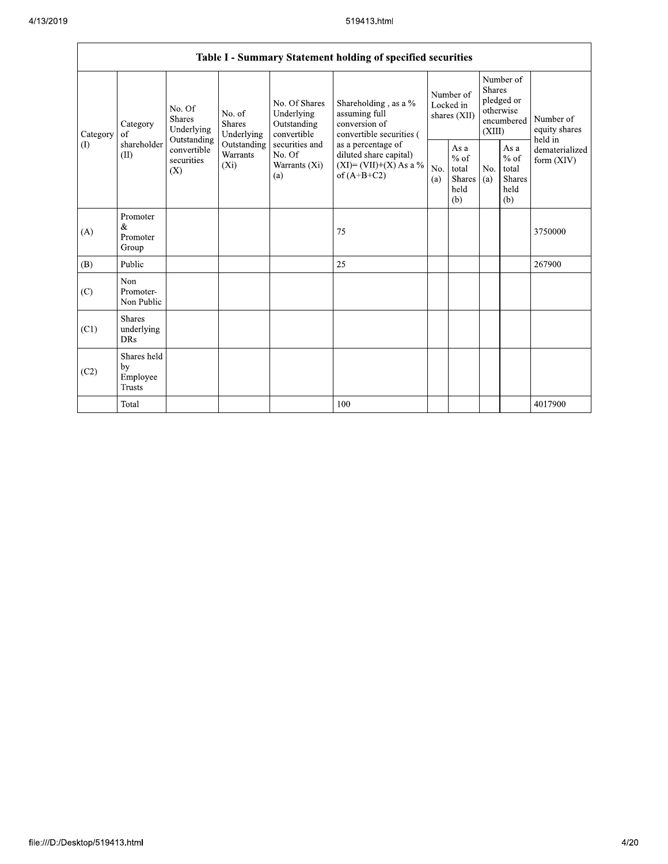Г

|                            |                                                                                               |                                                           |                                                                                    |                                                  | Table I - Summary Statement holding of specified securities                                |                                                                               |                                                         |                                       |                                                         |                                |
|----------------------------|-----------------------------------------------------------------------------------------------|-----------------------------------------------------------|------------------------------------------------------------------------------------|--------------------------------------------------|--------------------------------------------------------------------------------------------|-------------------------------------------------------------------------------|---------------------------------------------------------|---------------------------------------|---------------------------------------------------------|--------------------------------|
| Category<br>Category<br>of | No. Of<br>No. of<br><b>Shares</b><br><b>Shares</b><br>Underlying<br>Underlying<br>Outstanding | No. Of Shares<br>Underlying<br>Outstanding<br>convertible | Shareholding, as a %<br>assuming full<br>conversion of<br>convertible securities ( | Number of<br>Locked in<br>shares (XII)           |                                                                                            | Number of<br><b>Shares</b><br>pledged or<br>otherwise<br>encumbered<br>(XIII) |                                                         | Number of<br>equity shares<br>held in |                                                         |                                |
| (1)                        | shareholder<br>(II)                                                                           | convertible<br>securities<br>(X)                          | Outstanding<br>Warrants<br>$(X_i)$                                                 | securities and<br>No. Of<br>Warrants (Xi)<br>(a) | as a percentage of<br>diluted share capital)<br>$(XI) = (VII)+(X) As a %$<br>of $(A+B+C2)$ | No.<br>(a)                                                                    | As a<br>$%$ of<br>total<br><b>Shares</b><br>held<br>(b) | No.<br>(a)                            | As a<br>$%$ of<br>total<br><b>Shares</b><br>held<br>(b) | dematerialized<br>form $(XIV)$ |
| (A)                        | Promoter<br>$\&$<br>Promoter<br>Group                                                         |                                                           |                                                                                    |                                                  | 75                                                                                         |                                                                               |                                                         |                                       |                                                         | 3750000                        |
| (B)                        | Public                                                                                        |                                                           |                                                                                    |                                                  | 25                                                                                         |                                                                               |                                                         |                                       |                                                         | 267900                         |
| (C)                        | Non<br>Promoter-<br>Non Public                                                                |                                                           |                                                                                    |                                                  |                                                                                            |                                                                               |                                                         |                                       |                                                         |                                |
| (C1)                       | <b>Shares</b><br>underlying<br><b>DRs</b>                                                     |                                                           |                                                                                    |                                                  |                                                                                            |                                                                               |                                                         |                                       |                                                         |                                |
| (C2)                       | Shares held<br>by<br>Employee<br>Trusts                                                       |                                                           |                                                                                    |                                                  |                                                                                            |                                                                               |                                                         |                                       |                                                         |                                |
|                            | Total                                                                                         |                                                           |                                                                                    |                                                  | 100                                                                                        |                                                                               |                                                         |                                       |                                                         | 4017900                        |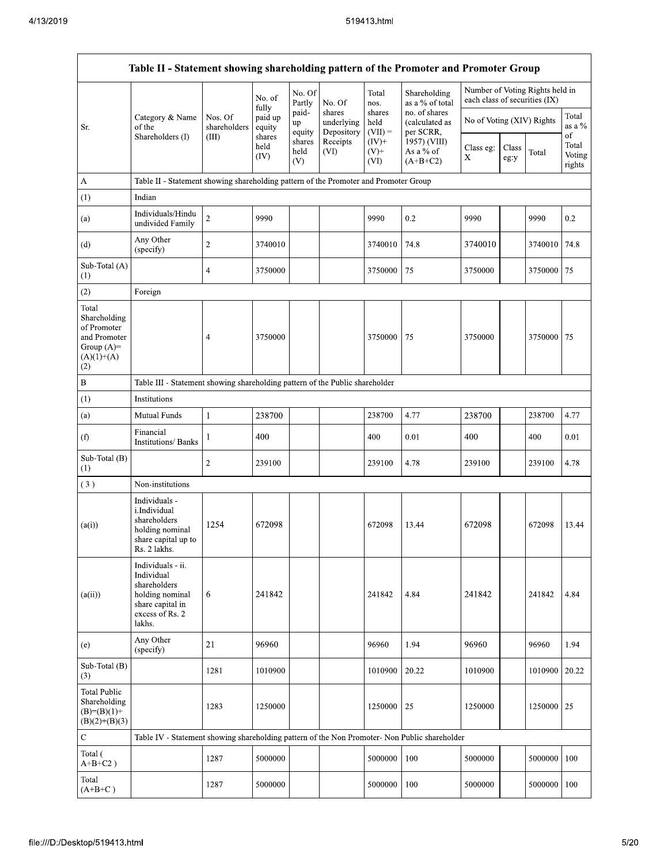|                                                                                             |                                                                                                                     |                                  |                             |                       |                                    | 519413.html                 |                                              |                               |               |                                 |                           |
|---------------------------------------------------------------------------------------------|---------------------------------------------------------------------------------------------------------------------|----------------------------------|-----------------------------|-----------------------|------------------------------------|-----------------------------|----------------------------------------------|-------------------------------|---------------|---------------------------------|---------------------------|
|                                                                                             | Table II - Statement showing shareholding pattern of the Promoter and Promoter Group                                |                                  |                             |                       |                                    |                             |                                              |                               |               |                                 |                           |
|                                                                                             |                                                                                                                     |                                  | No. of<br>fully             | No. Of<br>Partly      | No. Of                             | Total<br>nos.               | Shareholding<br>as a % of total              | each class of securities (IX) |               | Number of Voting Rights held in |                           |
| Sr.                                                                                         | Category & Name<br>of the<br>Shareholders (I)                                                                       | Nos. Of<br>shareholders<br>(III) | paid up<br>equity<br>shares | paid-<br>up<br>equity | shares<br>underlying<br>Depository | shares<br>held<br>$(VII) =$ | no. of shares<br>(calculated as<br>per SCRR, | No of Voting (XIV) Rights     |               |                                 | Total<br>as a $\%$<br>of  |
|                                                                                             |                                                                                                                     |                                  | held<br>(IV)                | shares<br>held<br>(V) | Receipts<br>(VI)                   | $(IV)^+$<br>$(V)$ +<br>(VI) | 1957) (VIII)<br>As a % of<br>$(A+B+C2)$      | Class eg:<br>X                | Class<br>eg:y | Total                           | Total<br>Voting<br>rights |
| A                                                                                           | Table II - Statement showing shareholding pattern of the Promoter and Promoter Group                                |                                  |                             |                       |                                    |                             |                                              |                               |               |                                 |                           |
| (1)                                                                                         | Indian                                                                                                              |                                  |                             |                       |                                    |                             |                                              |                               |               |                                 |                           |
| (a)                                                                                         | Individuals/Hindu<br>undivided Family                                                                               | $\overline{c}$                   | 9990                        |                       |                                    | 9990                        | 0.2                                          | 9990                          |               | 9990                            | 0.2                       |
| (d)                                                                                         | Any Other<br>(specify)                                                                                              | $\sqrt{2}$                       | 3740010                     |                       |                                    | 3740010                     | 74.8                                         | 3740010                       |               | 3740010                         | 74.8                      |
| Sub-Total (A)<br>(1)                                                                        |                                                                                                                     | 4                                | 3750000                     |                       |                                    | 3750000                     | 75                                           | 3750000                       |               | 3750000                         | 75                        |
| (2)                                                                                         | Foreign                                                                                                             |                                  |                             |                       |                                    |                             |                                              |                               |               |                                 |                           |
| Total<br>Shareholding<br>of Promoter<br>and Promoter<br>Group $(A)=$<br>$(A)(1)+(A)$<br>(2) |                                                                                                                     | $\overline{4}$                   | 3750000                     |                       |                                    | 3750000                     | 75                                           | 3750000                       |               | 3750000                         | 75                        |
| $\, {\bf B}$                                                                                | Table III - Statement showing shareholding pattern of the Public shareholder                                        |                                  |                             |                       |                                    |                             |                                              |                               |               |                                 |                           |
| (1)                                                                                         | Institutions                                                                                                        |                                  |                             |                       |                                    |                             |                                              |                               |               |                                 |                           |
| (a)                                                                                         | Mutual Funds                                                                                                        | $\mathbf{1}$                     | 238700                      |                       |                                    | 238700                      | 4.77                                         | 238700                        |               | 238700                          | 4.77                      |
| (f)                                                                                         | Financial<br><b>Institutions/Banks</b>                                                                              | 1                                | 400                         |                       |                                    | 400                         | 0.01                                         | 400                           |               | 400                             | 0.01                      |
| Sub-Total (B)<br>(1)                                                                        |                                                                                                                     | $\sqrt{2}$                       | 239100                      |                       |                                    | 239100                      | 4.78                                         | 239100                        |               | 239100                          | 4.78                      |
| (3)                                                                                         | Non-institutions                                                                                                    |                                  |                             |                       |                                    |                             |                                              |                               |               |                                 |                           |
| (a(i))                                                                                      | Individuals -<br>i.Individual<br>shareholders<br>holding nominal<br>share capital up to<br>Rs. 2 lakhs.             | 1254                             | 672098                      |                       |                                    | 672098                      | 13.44                                        | 672098                        |               | 672098                          | 13.44                     |
| (a(ii))                                                                                     | Individuals - ii.<br>Individual<br>shareholders<br>holding nominal<br>share capital in<br>excess of Rs. 2<br>lakhs. | 6                                | 241842                      |                       |                                    | 241842                      | 4.84                                         | 241842                        |               | 241842                          | 4.84                      |
| (e)                                                                                         | Any Other<br>(specify)                                                                                              | 21                               | 96960                       |                       |                                    | 96960                       | 1.94                                         | 96960                         |               | 96960                           | 1.94                      |
| Sub-Total (B)<br>(3)                                                                        |                                                                                                                     | 1281                             | 1010900                     |                       |                                    | 1010900                     | 20.22                                        | 1010900                       |               | 1010900                         | 20.22                     |
| <b>Total Public</b><br>Shareholding<br>$(B)=(B)(1)+$<br>$(B)(2)+(B)(3)$                     |                                                                                                                     | 1283                             | 1250000                     |                       |                                    | 1250000                     | 25                                           | 1250000                       |               | 1250000                         | 25                        |
| $\mathbf C$                                                                                 | Table IV - Statement showing shareholding pattern of the Non Promoter- Non Public shareholder                       |                                  |                             |                       |                                    |                             |                                              |                               |               |                                 |                           |
| Total (<br>$A+B+C2$ )                                                                       |                                                                                                                     | 1287                             | 5000000                     |                       |                                    | 5000000                     | 100                                          | 5000000                       |               | 5000000                         | 100                       |
| Total<br>$(A+B+C)$                                                                          |                                                                                                                     | 1287                             | 5000000                     |                       |                                    | 5000000                     | 100                                          | 5000000                       |               | 5000000                         | 100                       |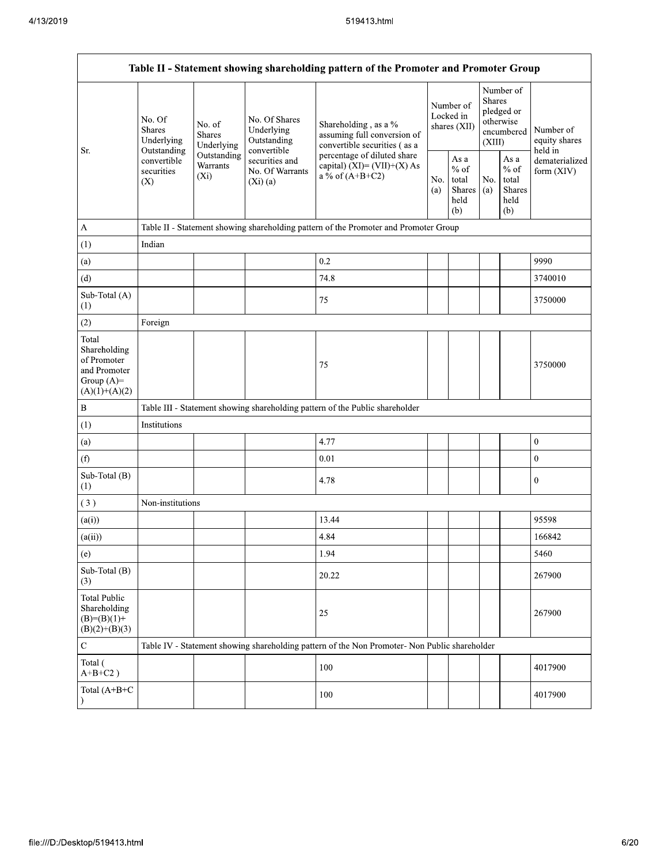|                                                                                         | Table II - Statement showing shareholding pattern of the Promoter and Promoter Group          |                                                           |                                                                                     |                                                                                               |            |                                                                                                                                                 |  |                              |                  |  |
|-----------------------------------------------------------------------------------------|-----------------------------------------------------------------------------------------------|-----------------------------------------------------------|-------------------------------------------------------------------------------------|-----------------------------------------------------------------------------------------------|------------|-------------------------------------------------------------------------------------------------------------------------------------------------|--|------------------------------|------------------|--|
| Sr.                                                                                     | No. Of<br>No. of<br><b>Shares</b><br><b>Shares</b><br>Underlying<br>Underlying<br>Outstanding | No. Of Shares<br>Underlying<br>Outstanding<br>convertible | Shareholding, as a %<br>assuming full conversion of<br>convertible securities (as a | Number of<br>Locked in<br>shares $(XII)$                                                      |            | Number of<br><b>Shares</b><br>pledged or<br>otherwise<br>encumbered<br>(XIII)                                                                   |  | Number of<br>equity shares   |                  |  |
|                                                                                         | convertible<br>securities<br>(X)                                                              | Outstanding<br>Warrants<br>$(X_i)$                        | securities and<br>No. Of Warrants<br>(Xi)(a)                                        | percentage of diluted share<br>capital) $(XI) = (VII)+(X) As$<br>a % of $(A+B+C2)$            | No.<br>(a) | held in<br>As a<br>As $\mathbf{a}$<br>$%$ of<br>$%$ of<br>total<br>No.<br>total<br>Shares<br><b>Shares</b><br>(a)<br>held<br>held<br>(b)<br>(b) |  | dematerialized<br>form (XIV) |                  |  |
| $\mathbf{A}$                                                                            |                                                                                               |                                                           |                                                                                     | Table II - Statement showing shareholding pattern of the Promoter and Promoter Group          |            |                                                                                                                                                 |  |                              |                  |  |
| (1)                                                                                     | Indian                                                                                        |                                                           |                                                                                     |                                                                                               |            |                                                                                                                                                 |  |                              |                  |  |
| (a)                                                                                     |                                                                                               |                                                           |                                                                                     | 0.2                                                                                           |            |                                                                                                                                                 |  |                              | 9990             |  |
| (d)                                                                                     |                                                                                               |                                                           |                                                                                     | 74.8                                                                                          |            |                                                                                                                                                 |  |                              | 3740010          |  |
| Sub-Total (A)<br>(1)                                                                    |                                                                                               |                                                           |                                                                                     | 75                                                                                            |            |                                                                                                                                                 |  |                              | 3750000          |  |
| (2)                                                                                     | Foreign                                                                                       |                                                           |                                                                                     |                                                                                               |            |                                                                                                                                                 |  |                              |                  |  |
| Total<br>Shareholding<br>of Promoter<br>and Promoter<br>Group $(A)=$<br>$(A)(1)+(A)(2)$ |                                                                                               |                                                           |                                                                                     | 75                                                                                            |            |                                                                                                                                                 |  |                              | 3750000          |  |
| $\, {\bf B}$                                                                            |                                                                                               |                                                           |                                                                                     | Table III - Statement showing shareholding pattern of the Public shareholder                  |            |                                                                                                                                                 |  |                              |                  |  |
| (1)                                                                                     | Institutions                                                                                  |                                                           |                                                                                     |                                                                                               |            |                                                                                                                                                 |  |                              |                  |  |
| (a)                                                                                     |                                                                                               |                                                           |                                                                                     | 4.77                                                                                          |            |                                                                                                                                                 |  |                              | $\boldsymbol{0}$ |  |
| (f)                                                                                     |                                                                                               |                                                           |                                                                                     | 0.01                                                                                          |            |                                                                                                                                                 |  |                              | $\mathbf{0}$     |  |
| Sub-Total (B)<br>(1)                                                                    |                                                                                               |                                                           |                                                                                     | 4.78                                                                                          |            |                                                                                                                                                 |  |                              | $\boldsymbol{0}$ |  |
| (3)                                                                                     | Non-institutions                                                                              |                                                           |                                                                                     |                                                                                               |            |                                                                                                                                                 |  |                              |                  |  |
| (a(i))                                                                                  |                                                                                               |                                                           |                                                                                     | 13.44                                                                                         |            |                                                                                                                                                 |  |                              | 95598            |  |
| (a(ii))                                                                                 |                                                                                               |                                                           |                                                                                     | 4.84                                                                                          |            |                                                                                                                                                 |  |                              | 166842           |  |
| (e)                                                                                     |                                                                                               |                                                           |                                                                                     | 1.94                                                                                          |            |                                                                                                                                                 |  |                              | 5460             |  |
| Sub-Total (B)<br>(3)                                                                    |                                                                                               |                                                           |                                                                                     | 20.22                                                                                         |            |                                                                                                                                                 |  |                              | 267900           |  |
| <b>Total Public</b><br>Shareholding<br>$(B)=(B)(1)+$<br>$(B)(2)+(B)(3)$                 |                                                                                               |                                                           |                                                                                     | 25                                                                                            |            |                                                                                                                                                 |  |                              | 267900           |  |
| ${\bf C}$                                                                               |                                                                                               |                                                           |                                                                                     | Table IV - Statement showing shareholding pattern of the Non Promoter- Non Public shareholder |            |                                                                                                                                                 |  |                              |                  |  |
| Total (<br>$A+B+C2$ )                                                                   |                                                                                               |                                                           |                                                                                     | 100                                                                                           |            |                                                                                                                                                 |  |                              | 4017900          |  |
| Total (A+B+C                                                                            |                                                                                               |                                                           |                                                                                     | 100                                                                                           |            |                                                                                                                                                 |  |                              | 4017900          |  |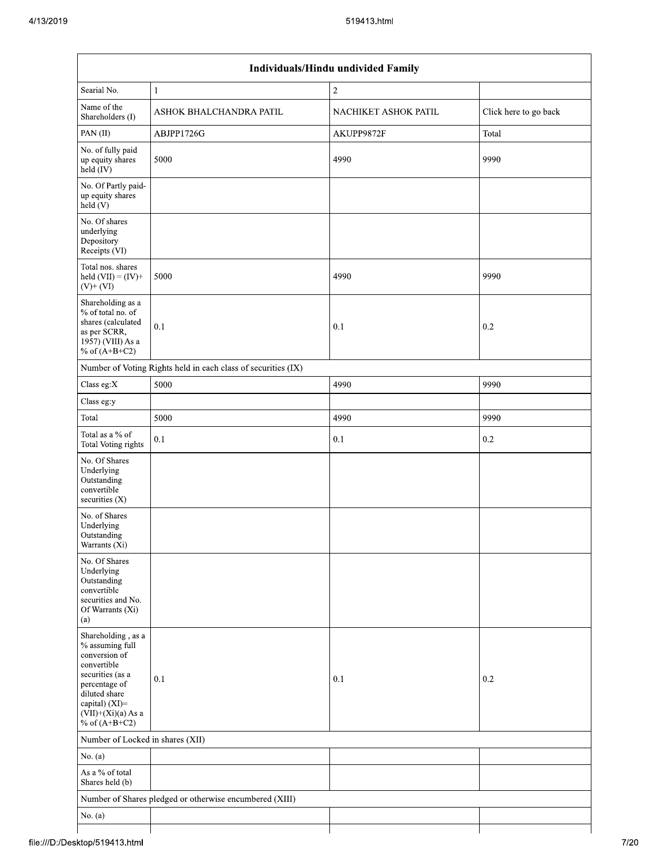| Individuals/Hindu undivided Family                                                                                                                                                       |                                                               |                      |                       |  |  |
|------------------------------------------------------------------------------------------------------------------------------------------------------------------------------------------|---------------------------------------------------------------|----------------------|-----------------------|--|--|
| Searial No.                                                                                                                                                                              | $\mathbf{1}$                                                  | $\sqrt{2}$           |                       |  |  |
| Name of the<br>Shareholders (I)                                                                                                                                                          | ASHOK BHALCHANDRA PATIL                                       | NACHIKET ASHOK PATIL | Click here to go back |  |  |
| PAN(II)                                                                                                                                                                                  | ABJPP1726G                                                    | AKUPP9872F           | Total                 |  |  |
| No. of fully paid<br>up equity shares<br>held $(V)$                                                                                                                                      | 5000                                                          | 4990                 | 9990                  |  |  |
| No. Of Partly paid-<br>up equity shares<br>held (V)                                                                                                                                      |                                                               |                      |                       |  |  |
| No. Of shares<br>underlying<br>Depository<br>Receipts (VI)                                                                                                                               |                                                               |                      |                       |  |  |
| Total nos. shares<br>held $(VII) = (IV) +$<br>$(V)$ + $(VI)$                                                                                                                             | 5000                                                          | 4990                 | 9990                  |  |  |
| Shareholding as a<br>% of total no. of<br>shares (calculated<br>as per SCRR,<br>1957) (VIII) As a<br>% of $(A+B+C2)$                                                                     | 0.1                                                           | 0.1                  | 0.2                   |  |  |
|                                                                                                                                                                                          | Number of Voting Rights held in each class of securities (IX) |                      |                       |  |  |
| Class eg:X                                                                                                                                                                               | 5000                                                          | 4990                 | 9990                  |  |  |
| Class eg:y                                                                                                                                                                               |                                                               |                      |                       |  |  |
| Total                                                                                                                                                                                    | 5000                                                          | 4990                 | 9990                  |  |  |
| Total as a % of<br>Total Voting rights                                                                                                                                                   | 0.1                                                           | 0.1                  | 0.2                   |  |  |
| No. Of Shares<br>Underlying<br>Outstanding<br>convertible<br>securities (X)                                                                                                              |                                                               |                      |                       |  |  |
| No. of Shares<br>Underlying<br>Outstanding<br>Warrants (Xi)                                                                                                                              |                                                               |                      |                       |  |  |
| No. Of Shares<br>Underlying<br>Outstanding<br>convertible<br>securities and No.<br>Of Warrants (Xi)<br>(a)                                                                               |                                                               |                      |                       |  |  |
| Shareholding, as a<br>% assuming full<br>conversion of<br>convertible<br>securities (as a<br>percentage of<br>diluted share<br>capital) (XI)=<br>$(VII)+(Xi)(a) As a$<br>% of $(A+B+C2)$ | 0.1                                                           | 0.1                  | 0.2                   |  |  |
| Number of Locked in shares (XII)                                                                                                                                                         |                                                               |                      |                       |  |  |
| No. $(a)$                                                                                                                                                                                |                                                               |                      |                       |  |  |
| As a % of total<br>Shares held (b)                                                                                                                                                       |                                                               |                      |                       |  |  |
|                                                                                                                                                                                          | Number of Shares pledged or otherwise encumbered (XIII)       |                      |                       |  |  |
| No. $(a)$                                                                                                                                                                                |                                                               |                      |                       |  |  |
|                                                                                                                                                                                          |                                                               |                      |                       |  |  |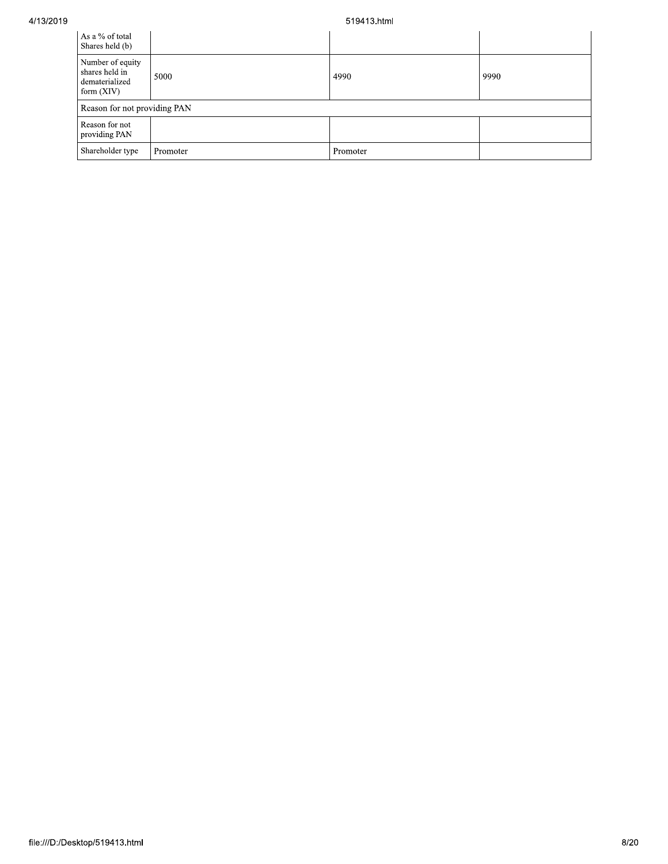4/13/2019

## 519413.html

| As a % of total<br>Shares held (b)                                   |          |          |      |
|----------------------------------------------------------------------|----------|----------|------|
| Number of equity<br>shares held in<br>dematerialized<br>form $(XIV)$ | 5000     | 4990     | 9990 |
| Reason for not providing PAN                                         |          |          |      |
| Reason for not<br>providing PAN                                      |          |          |      |
| Shareholder type                                                     | Promoter | Promoter |      |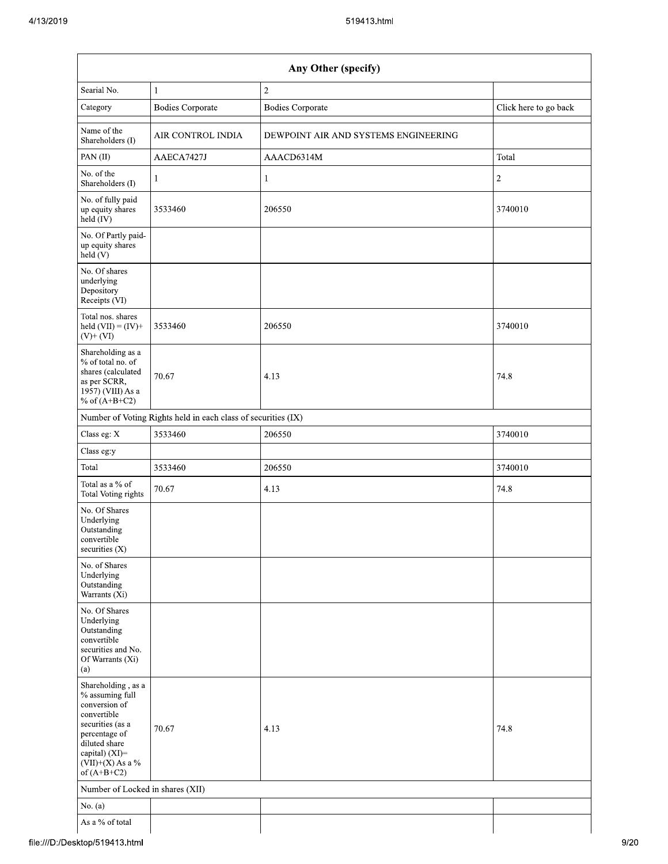|                                                                                                                                                                                         |                                                               | 519413.html                          |                       |
|-----------------------------------------------------------------------------------------------------------------------------------------------------------------------------------------|---------------------------------------------------------------|--------------------------------------|-----------------------|
|                                                                                                                                                                                         |                                                               | Any Other (specify)                  |                       |
| Searial No.                                                                                                                                                                             | $\mathbf{1}$                                                  | $\sqrt{2}$                           |                       |
| Category                                                                                                                                                                                | <b>Bodies Corporate</b>                                       | <b>Bodies Corporate</b>              | Click here to go back |
| Name of the<br>Shareholders (I)                                                                                                                                                         | AIR CONTROL INDIA                                             | DEWPOINT AIR AND SYSTEMS ENGINEERING |                       |
| PAN(II)                                                                                                                                                                                 | AAECA7427J                                                    | AAACD6314M                           | Total                 |
| No. of the<br>Shareholders (I)                                                                                                                                                          | 1                                                             | $\mathbf{1}$                         | $\sqrt{2}$            |
| No. of fully paid<br>up equity shares<br>held (IV)                                                                                                                                      | 3533460                                                       | 206550                               | 3740010               |
| No. Of Partly paid-<br>up equity shares<br>held(V)                                                                                                                                      |                                                               |                                      |                       |
| No. Of shares<br>underlying<br>Depository<br>Receipts (VI)                                                                                                                              |                                                               |                                      |                       |
| Total nos. shares<br>held $(VII) = (IV) +$<br>$(V)$ + $(VI)$                                                                                                                            | 3533460                                                       | 206550                               | 3740010               |
| Shareholding as a<br>% of total no. of<br>shares (calculated<br>as per SCRR,<br>1957) (VIII) As a<br>% of $(A+B+C2)$                                                                    | 70.67                                                         | 4.13                                 | 74.8                  |
|                                                                                                                                                                                         | Number of Voting Rights held in each class of securities (IX) |                                      |                       |
| Class eg: X                                                                                                                                                                             | 3533460                                                       | 206550                               | 3740010               |
| Class eg:y                                                                                                                                                                              |                                                               |                                      |                       |
| Total                                                                                                                                                                                   | 3533460                                                       | 206550                               | 3740010               |
| Total as a $\%$ of<br>Total Voting rights                                                                                                                                               | 70.67                                                         | 4.13                                 | 74.8                  |
| No. Of Shares<br>Underlying<br>Outstanding<br>convertible<br>securities (X)                                                                                                             |                                                               |                                      |                       |
| No. of Shares<br>Underlying<br>Outstanding<br>Warrants (Xi)                                                                                                                             |                                                               |                                      |                       |
| No. Of Shares<br>Underlying<br>Outstanding<br>convertible<br>securities and No.<br>Of Warrants (Xi)<br>(a)                                                                              |                                                               |                                      |                       |
| Shareholding, as a<br>$\%$ assuming full<br>conversion of<br>convertible<br>securities (as a<br>percentage of<br>diluted share<br>capital) (XI)=<br>$(VII)+(X)$ As a %<br>of $(A+B+C2)$ | 70.67                                                         | 4.13                                 | 74.8                  |
|                                                                                                                                                                                         | Number of Locked in shares (XII)                              |                                      |                       |
| No. $(a)$                                                                                                                                                                               |                                                               |                                      |                       |
| As a $\%$ of total                                                                                                                                                                      |                                                               |                                      |                       |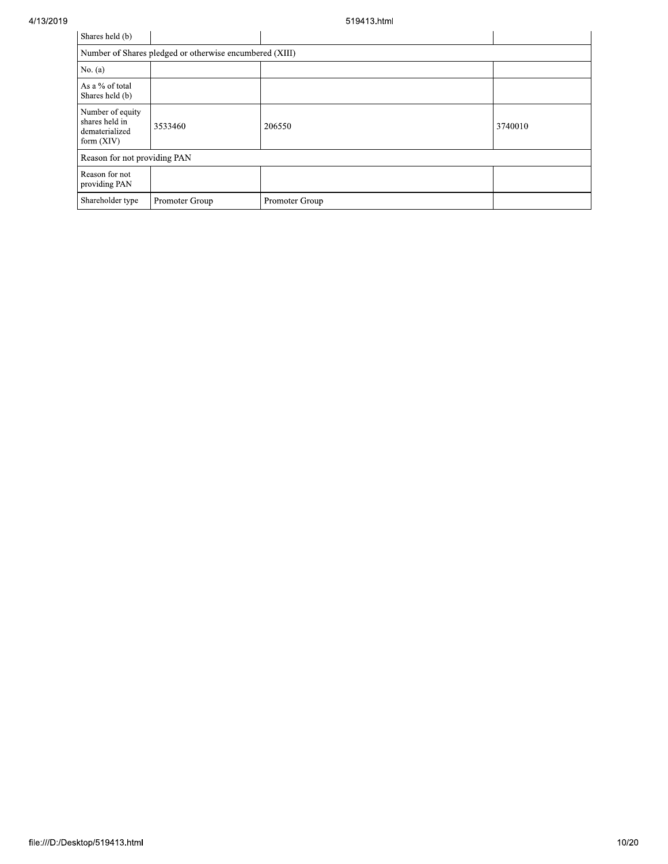| Shares held (b)                                                      |                                                         |                |         |
|----------------------------------------------------------------------|---------------------------------------------------------|----------------|---------|
|                                                                      | Number of Shares pledged or otherwise encumbered (XIII) |                |         |
| No. $(a)$                                                            |                                                         |                |         |
| As a % of total<br>Shares held (b)                                   |                                                         |                |         |
| Number of equity<br>shares held in<br>dematerialized<br>form $(XIV)$ | 3533460                                                 | 206550         | 3740010 |
| Reason for not providing PAN                                         |                                                         |                |         |
| Reason for not<br>providing PAN                                      |                                                         |                |         |
| Shareholder type                                                     | Promoter Group                                          | Promoter Group |         |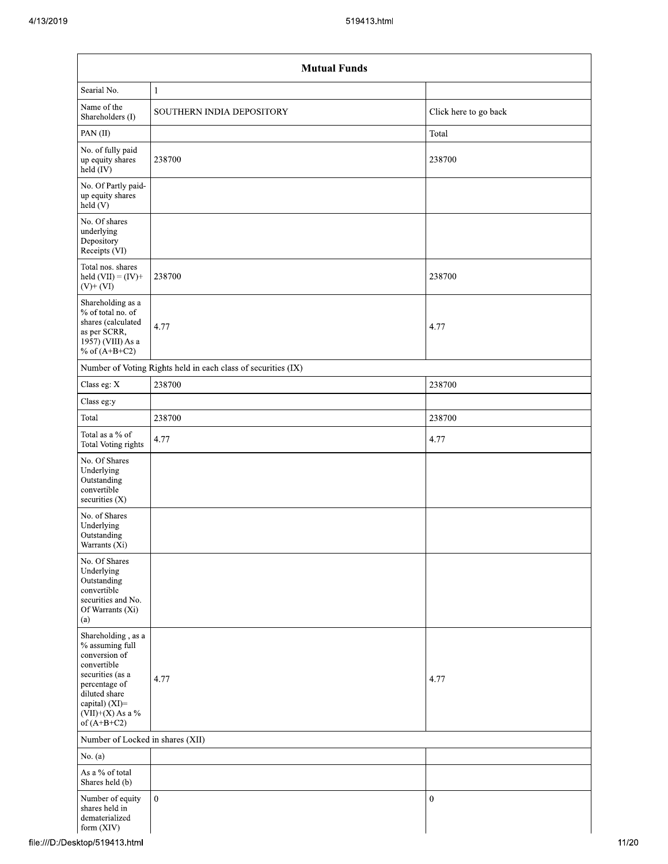|                                                                                                                                                                                      | <b>Mutual Funds</b>                                           |                       |  |  |  |  |  |  |
|--------------------------------------------------------------------------------------------------------------------------------------------------------------------------------------|---------------------------------------------------------------|-----------------------|--|--|--|--|--|--|
| Searial No.                                                                                                                                                                          | $\mathbf{1}$                                                  |                       |  |  |  |  |  |  |
| Name of the<br>Shareholders (I)                                                                                                                                                      | SOUTHERN INDIA DEPOSITORY                                     | Click here to go back |  |  |  |  |  |  |
| PAN(II)                                                                                                                                                                              |                                                               | Total                 |  |  |  |  |  |  |
| No. of fully paid<br>up equity shares<br>held $(IV)$                                                                                                                                 | 238700                                                        | 238700                |  |  |  |  |  |  |
| No. Of Partly paid-<br>up equity shares<br>held (V)                                                                                                                                  |                                                               |                       |  |  |  |  |  |  |
| No. Of shares<br>underlying<br>Depository<br>Receipts (VI)                                                                                                                           |                                                               |                       |  |  |  |  |  |  |
| Total nos. shares<br>held $(VII) = (IV) +$<br>$(V)$ + $(VI)$                                                                                                                         | 238700                                                        | 238700                |  |  |  |  |  |  |
| Shareholding as a<br>% of total no. of<br>shares (calculated<br>as per SCRR,<br>1957) (VIII) As a<br>% of $(A+B+C2)$                                                                 | 4.77                                                          | 4.77                  |  |  |  |  |  |  |
|                                                                                                                                                                                      | Number of Voting Rights held in each class of securities (IX) |                       |  |  |  |  |  |  |
| Class eg: X                                                                                                                                                                          | 238700                                                        | 238700                |  |  |  |  |  |  |
| Class eg:y                                                                                                                                                                           |                                                               |                       |  |  |  |  |  |  |
| Total                                                                                                                                                                                | 238700                                                        | 238700                |  |  |  |  |  |  |
| Total as a % of<br>Total Voting rights                                                                                                                                               | 4.77                                                          | 4.77                  |  |  |  |  |  |  |
| No. Of Shares<br>Underlying<br>Outstanding<br>convertible<br>securities (X)                                                                                                          |                                                               |                       |  |  |  |  |  |  |
| No. of Shares<br>Underlying<br>Outstanding<br>Warrants (Xi)                                                                                                                          |                                                               |                       |  |  |  |  |  |  |
| No. Of Shares<br>Underlying<br>Outstanding<br>convertible<br>securities and No.<br>Of Warrants (Xi)<br>(a)                                                                           |                                                               |                       |  |  |  |  |  |  |
| Shareholding, as a<br>% assuming full<br>conversion of<br>convertible<br>securities (as a<br>percentage of<br>diluted share<br>capital) (XI)=<br>$(VII)+(X)$ As a %<br>of $(A+B+C2)$ | 4.77                                                          | 4.77                  |  |  |  |  |  |  |
| Number of Locked in shares (XII)                                                                                                                                                     |                                                               |                       |  |  |  |  |  |  |
| No. $(a)$                                                                                                                                                                            |                                                               |                       |  |  |  |  |  |  |
| As a % of total<br>Shares held (b)                                                                                                                                                   |                                                               |                       |  |  |  |  |  |  |
| Number of equity<br>shares held in<br>dematerialized<br>form (XIV)                                                                                                                   | $\boldsymbol{0}$                                              | $\boldsymbol{0}$      |  |  |  |  |  |  |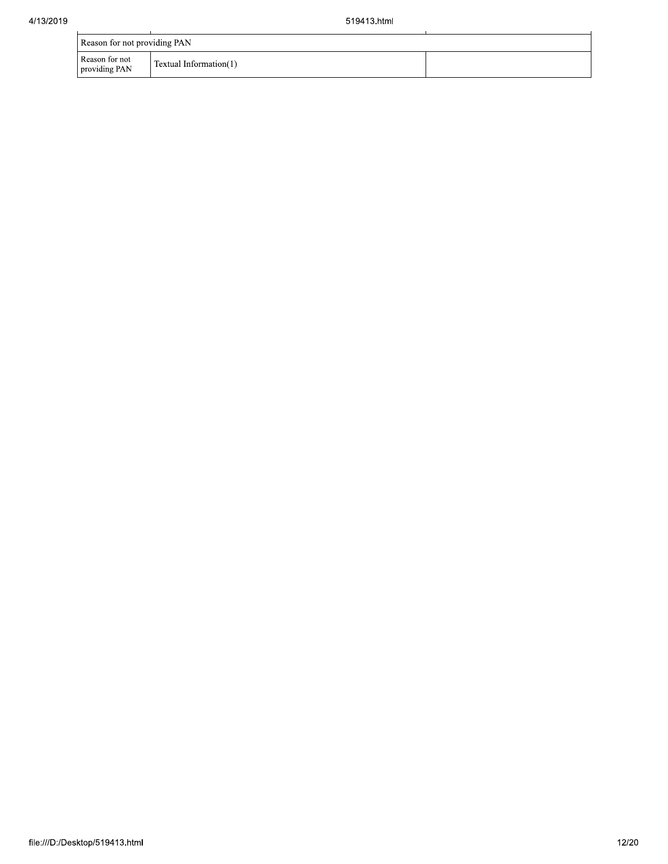|                                 | Reason for not providing PAN |  |  |  |  |  |
|---------------------------------|------------------------------|--|--|--|--|--|
| Reason for not<br>providing PAN | Textual Information(1)       |  |  |  |  |  |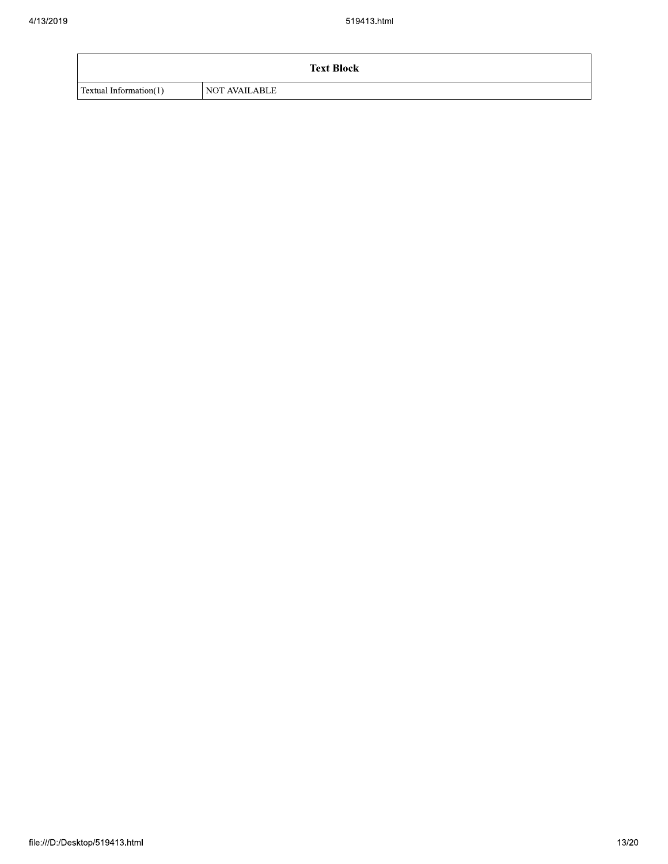|                        | <b>Text Block</b>    |
|------------------------|----------------------|
| Textual Information(1) | <b>NOT AVAILABLE</b> |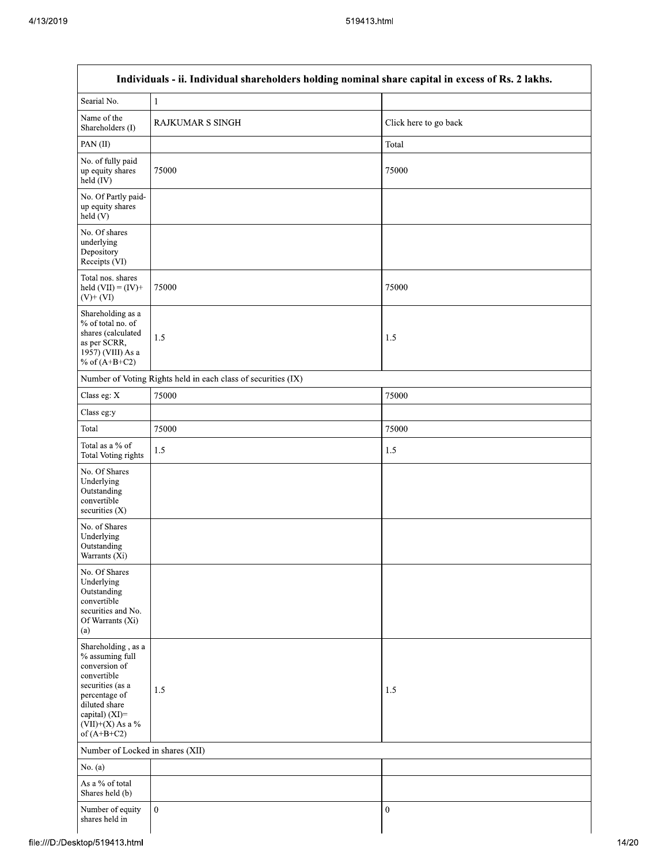| 519413.html                                                                                                                                                                          |                                                                                                   |                       |  |  |  |
|--------------------------------------------------------------------------------------------------------------------------------------------------------------------------------------|---------------------------------------------------------------------------------------------------|-----------------------|--|--|--|
|                                                                                                                                                                                      | Individuals - ii. Individual shareholders holding nominal share capital in excess of Rs. 2 lakhs. |                       |  |  |  |
| Searial No.                                                                                                                                                                          | $\mathbf{1}$                                                                                      |                       |  |  |  |
| Name of the<br>Shareholders (I)                                                                                                                                                      | <b>RAJKUMAR S SINGH</b>                                                                           | Click here to go back |  |  |  |
| PAN(II)                                                                                                                                                                              |                                                                                                   | Total                 |  |  |  |
| No. of fully paid<br>up equity shares<br>$held$ (IV)                                                                                                                                 | 75000                                                                                             | 75000                 |  |  |  |
| No. Of Partly paid-<br>up equity shares<br>held(V)                                                                                                                                   |                                                                                                   |                       |  |  |  |
| No. Of shares<br>underlying<br>Depository<br>Receipts (VI)                                                                                                                           |                                                                                                   |                       |  |  |  |
| Total nos. shares<br>held $(VII) = (IV) +$<br>$(V)$ + $(VI)$                                                                                                                         | 75000                                                                                             | 75000                 |  |  |  |
| Shareholding as a<br>% of total no. of<br>shares (calculated<br>as per SCRR,<br>1957) (VIII) As a<br>% of $(A+B+C2)$                                                                 | 1.5                                                                                               | 1.5                   |  |  |  |
|                                                                                                                                                                                      | Number of Voting Rights held in each class of securities (IX)                                     |                       |  |  |  |
| Class eg: X                                                                                                                                                                          | 75000                                                                                             | 75000                 |  |  |  |
| Class eg:y                                                                                                                                                                           |                                                                                                   |                       |  |  |  |
| Total                                                                                                                                                                                | 75000                                                                                             | 75000                 |  |  |  |
| Total as a % of<br>Total Voting rights                                                                                                                                               | 1.5                                                                                               | 1.5                   |  |  |  |
| No. Of Shares<br>Underlying<br>Outstanding<br>convertible<br>securities $(X)$                                                                                                        |                                                                                                   |                       |  |  |  |
| No. of Shares<br>Underlying<br>Outstanding<br>Warrants (Xi)                                                                                                                          |                                                                                                   |                       |  |  |  |
| No. Of Shares<br>Underlying<br>Outstanding<br>convertible<br>securities and No.<br>Of Warrants (Xi)<br>(a)                                                                           |                                                                                                   |                       |  |  |  |
| Shareholding, as a<br>% assuming full<br>conversion of<br>convertible<br>securities (as a<br>percentage of<br>diluted share<br>capital) (XI)=<br>$(VII)+(X)$ As a %<br>of $(A+B+C2)$ | 1.5                                                                                               | 1.5                   |  |  |  |
| Number of Locked in shares (XII)                                                                                                                                                     |                                                                                                   |                       |  |  |  |
| No. (a)                                                                                                                                                                              |                                                                                                   |                       |  |  |  |
| As a % of total<br>Shares held (b)                                                                                                                                                   |                                                                                                   |                       |  |  |  |
| Number of equity<br>shares held in                                                                                                                                                   | $\boldsymbol{0}$                                                                                  | $\boldsymbol{0}$      |  |  |  |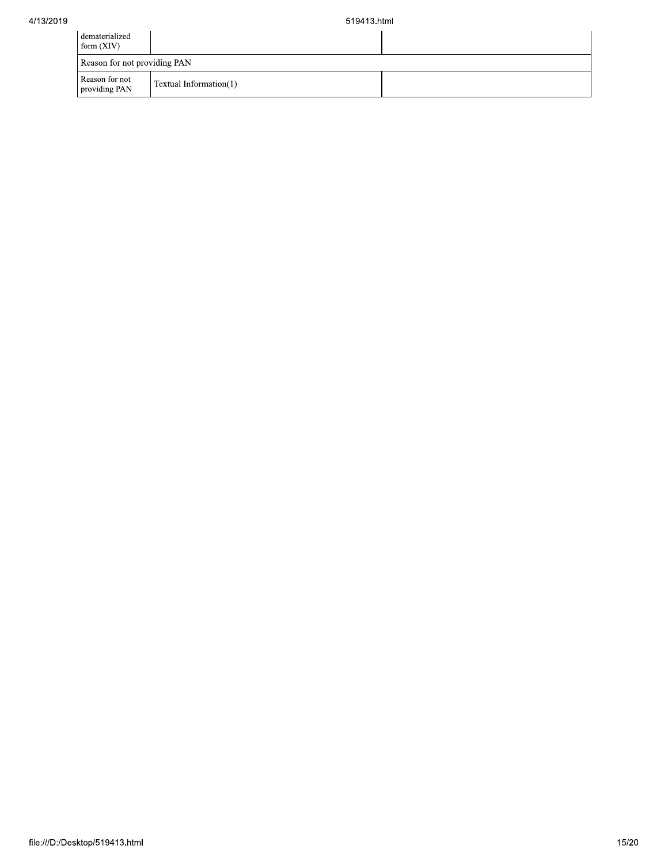| dematerialized<br>form $(XIV)$  |                        |  |
|---------------------------------|------------------------|--|
| Reason for not providing PAN    |                        |  |
| Reason for not<br>providing PAN | Textual Information(1) |  |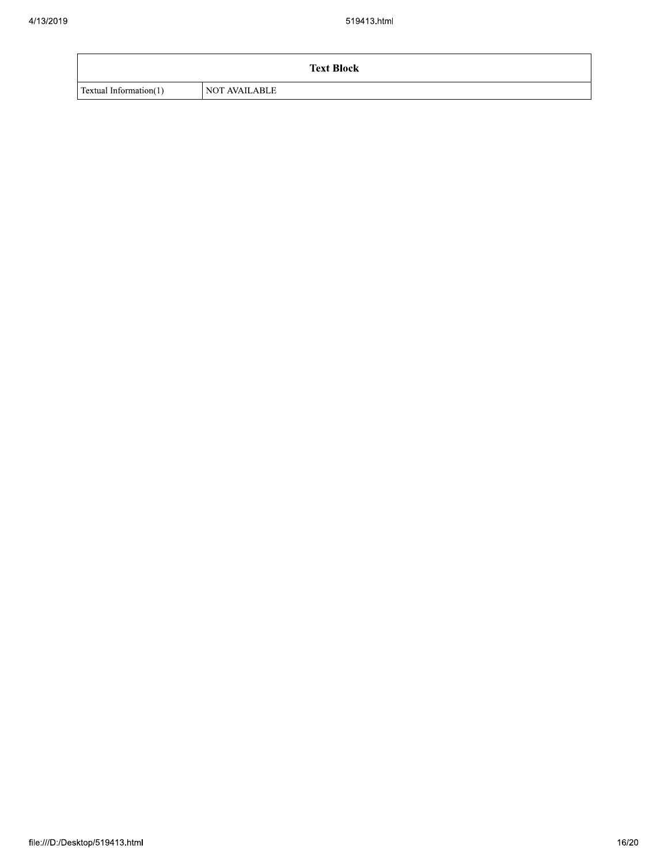|                        | <b>Text Block</b>    |
|------------------------|----------------------|
| Textual Information(1) | <b>NOT AVAILABLE</b> |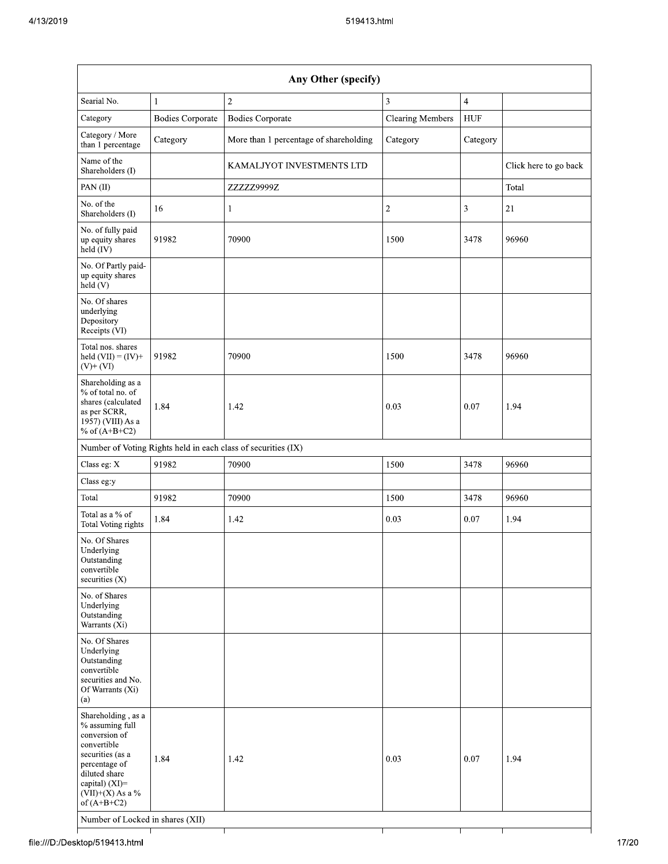| Any Other (specify)                                                                                                                                                                  |                         |                                                               |                         |                |                       |
|--------------------------------------------------------------------------------------------------------------------------------------------------------------------------------------|-------------------------|---------------------------------------------------------------|-------------------------|----------------|-----------------------|
| Searial No.                                                                                                                                                                          | $\mathbf{1}$            | $\overline{2}$                                                | 3                       | $\overline{4}$ |                       |
| Category                                                                                                                                                                             | <b>Bodies Corporate</b> | <b>Bodies Corporate</b>                                       | <b>Clearing Members</b> | <b>HUF</b>     |                       |
| Category / More<br>than 1 percentage                                                                                                                                                 | Category                | More than 1 percentage of shareholding                        | Category                | Category       |                       |
| Name of the<br>Shareholders (I)                                                                                                                                                      |                         | KAMALJYOT INVESTMENTS LTD                                     |                         |                | Click here to go back |
| PAN(II)                                                                                                                                                                              |                         | ZZZZZ9999Z                                                    |                         |                | Total                 |
| No. of the<br>Shareholders (I)                                                                                                                                                       | 16                      | 1                                                             | $\overline{c}$          | 3              | 21                    |
| No. of fully paid<br>up equity shares<br>held (IV)                                                                                                                                   | 91982                   | 70900                                                         | 1500                    | 3478           | 96960                 |
| No. Of Partly paid-<br>up equity shares<br>held (V)                                                                                                                                  |                         |                                                               |                         |                |                       |
| No. Of shares<br>underlying<br>Depository<br>Receipts (VI)                                                                                                                           |                         |                                                               |                         |                |                       |
| Total nos. shares<br>held $(VII) = (IV) +$<br>$(V)+(VI)$                                                                                                                             | 91982                   | 70900                                                         | 1500                    | 3478           | 96960                 |
| Shareholding as a<br>% of total no. of<br>shares (calculated<br>as per SCRR,<br>1957) (VIII) As a<br>% of $(A+B+C2)$                                                                 | 1.84                    | 1.42                                                          | 0.03                    | 0.07           | 1.94                  |
|                                                                                                                                                                                      |                         | Number of Voting Rights held in each class of securities (IX) |                         |                |                       |
| Class eg: X                                                                                                                                                                          | 91982                   | 70900                                                         | 1500                    | 3478           | 96960                 |
| Class eg:y                                                                                                                                                                           |                         |                                                               |                         |                |                       |
| Total                                                                                                                                                                                | 91982                   | 70900                                                         | 1500                    | 3478           | 96960                 |
| Total as a % of<br><b>Total Voting rights</b>                                                                                                                                        | 1.84                    | 1.42                                                          | 0.03                    | $0.07\,$       | 1.94                  |
| No. Of Shares<br>Underlying<br>Outstanding<br>convertible<br>securities (X)                                                                                                          |                         |                                                               |                         |                |                       |
| No. of Shares<br>Underlying<br>Outstanding<br>Warrants (Xi)                                                                                                                          |                         |                                                               |                         |                |                       |
| No. Of Shares<br>Underlying<br>Outstanding<br>convertible<br>securities and No.<br>Of Warrants (Xi)<br>(a)                                                                           |                         |                                                               |                         |                |                       |
| Shareholding, as a<br>% assuming full<br>conversion of<br>convertible<br>securities (as a<br>percentage of<br>diluted share<br>capital) (XI)=<br>$(VII)+(X)$ As a %<br>of $(A+B+C2)$ | 1.84                    | 1.42                                                          | 0.03                    | 0.07           | 1.94                  |
| Number of Locked in shares (XII)                                                                                                                                                     |                         |                                                               |                         |                |                       |

٦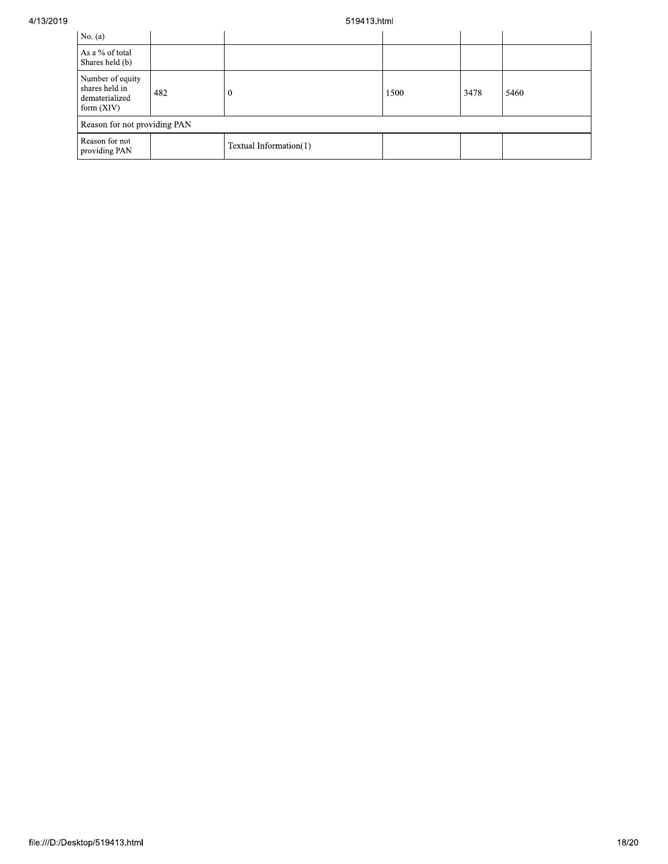## 519413.html

| No. $(a)$                                                          |     |                        |      |      |      |
|--------------------------------------------------------------------|-----|------------------------|------|------|------|
| As a % of total<br>Shares held (b)                                 |     |                        |      |      |      |
| Number of equity<br>shares held in<br>dematerialized<br>form (XIV) | 482 |                        | 1500 | 3478 | 5460 |
| Reason for not providing PAN                                       |     |                        |      |      |      |
| Reason for not<br>providing PAN                                    |     | Textual Information(1) |      |      |      |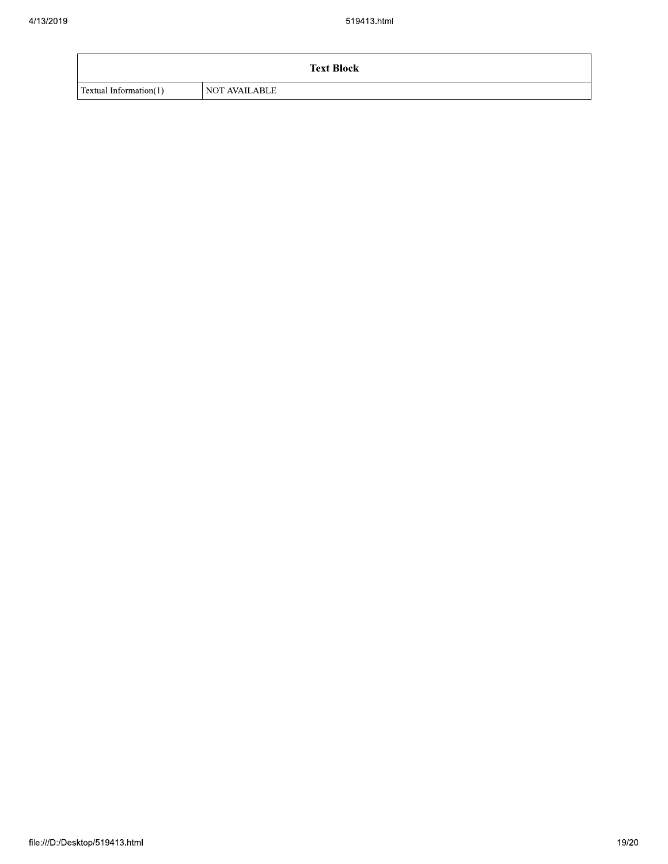|                        | <b>Text Block</b>    |
|------------------------|----------------------|
| Textual Information(1) | <b>NOT AVAILABLE</b> |